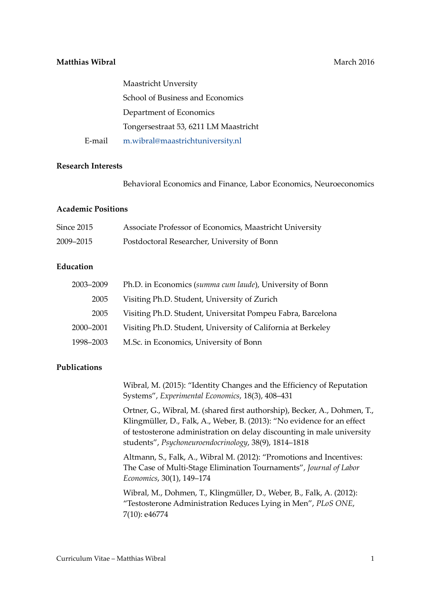# **Matthias Wibral** Matthias **Matthias Matthias Matthias Matthias Matthias Matthias Matthias Matthias Matthias Matthias Matthias Matthias Matthias Matthias Matthias Matthias Matthias Matthia**

|        | <b>Maastricht Unversity</b>           |
|--------|---------------------------------------|
|        | School of Business and Economics      |
|        | Department of Economics               |
|        | Tongersestraat 53, 6211 LM Maastricht |
| E-mail | m.wibral@maastrichtuniversity.nl      |

#### **Research Interests**

Behavioral Economics and Finance, Labor Economics, Neuroeconomics

#### **Academic Positions**

| Since 2015 | Associate Professor of Economics, Maastricht University |
|------------|---------------------------------------------------------|
| 2009–2015  | Postdoctoral Researcher, University of Bonn             |

# **Education**

| 2003-2009 | Ph.D. in Economics (summa cum laude), University of Bonn     |
|-----------|--------------------------------------------------------------|
| 2005      | Visiting Ph.D. Student, University of Zurich                 |
| 2005      | Visiting Ph.D. Student, Universitat Pompeu Fabra, Barcelona  |
| 2000-2001 | Visiting Ph.D. Student, University of California at Berkeley |
| 1998-2003 | M.Sc. in Economics, University of Bonn                       |

### **Publications**

Wibral, M. (2015): "Identity Changes and the Efficiency of Reputation Systems", *Experimental Economics*, 18(3), 408–431

Ortner, G., Wibral, M. (shared first authorship), Becker, A., Dohmen, T., Klingmüller, D., Falk, A., Weber, B. (2013): "No evidence for an effect of testosterone administration on delay discounting in male university students", *Psychoneuroendocrinology*, 38(9), 1814–1818

Altmann, S., Falk, A., Wibral M. (2012): "Promotions and Incentives: The Case of Multi-Stage Elimination Tournaments", *Journal of Labor Economics*, 30(1), 149–174

Wibral, M., Dohmen, T., Klingmüller, D., Weber, B., Falk, A. (2012): "Testosterone Administration Reduces Lying in Men", *PLoS ONE*, 7(10): e46774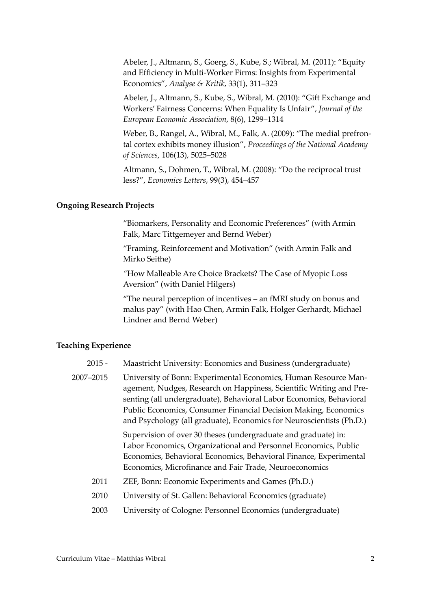Abeler, J., Altmann, S., Goerg, S., Kube, S.; Wibral, M. (2011): "Equity and Efficiency in Multi-Worker Firms: Insights from Experimental Economics", *Analyse & Kritik*, 33(1), 311–323

Abeler, J., Altmann, S., Kube, S., Wibral, M. (2010): "Gift Exchange and Workers' Fairness Concerns: When Equality Is Unfair", *Journal of the European Economic Association*, 8(6), 1299–1314

*W*eber, B., Rangel, A., Wibral, M., Falk, A. (2009): "The medial prefrontal cortex exhibits money illusion", *Proceedings of the National Academy of Sciences*, 106(13), 5025–5028

Altmann, S., Dohmen, T., Wibral, M. (2008): "Do the reciprocal trust less?", *Economics Letters*, 99(3), 454–457

#### **Ongoing Research Projects**

"Biomarkers, Personality and Economic Preferences" (with Armin Falk, Marc Tittgemeyer and Bernd Weber)

"Framing, Reinforcement and Motivation" (with Armin Falk and Mirko Seithe)

*"*How Malleable Are Choice Brackets? The Case of Myopic Loss Aversion" (with Daniel Hilgers)

"The neural perception of incentives – an fMRI study on bonus and malus pay" (with Hao Chen, Armin Falk, Holger Gerhardt, Michael Lindner and Bernd Weber)

### **Teaching Experience**

- 2015 Maastricht University: Economics and Business (undergraduate)
- 2007–2015 University of Bonn: Experimental Economics, Human Resource Management, Nudges, Research on Happiness, Scientific Writing and Presenting (all undergraduate), Behavioral Labor Economics, Behavioral Public Economics, Consumer Financial Decision Making, Economics and Psychology (all graduate), Economics for Neuroscientists (Ph.D.)

Supervision of over 30 theses (undergraduate and graduate) in: Labor Economics, Organizational and Personnel Economics, Public Economics, Behavioral Economics, Behavioral Finance, Experimental Economics, Microfinance and Fair Trade, Neuroeconomics

- 2011 ZEF, Bonn: Economic Experiments and Games (Ph.D.)
- 2010 University of St. Gallen: Behavioral Economics (graduate)
- 2003 University of Cologne: Personnel Economics (undergraduate)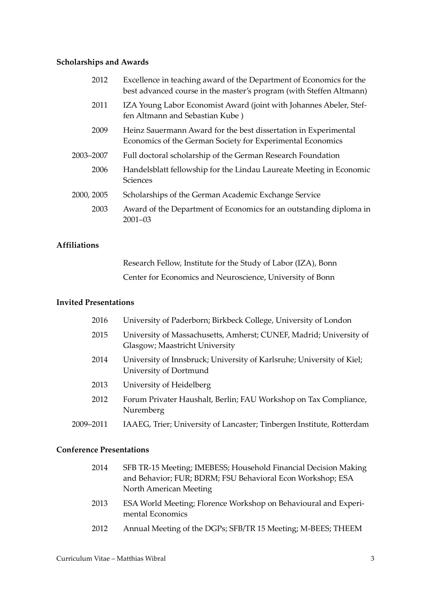# **Scholarships and Awards**

| 2012       | Excellence in teaching award of the Department of Economics for the<br>best advanced course in the master's program (with Steffen Altmann) |
|------------|--------------------------------------------------------------------------------------------------------------------------------------------|
| 2011       | IZA Young Labor Economist Award (joint with Johannes Abeler, Stef-<br>fen Altmann and Sebastian Kube)                                      |
| 2009       | Heinz Sauermann Award for the best dissertation in Experimental<br>Economics of the German Society for Experimental Economics              |
| 2003–2007  | Full doctoral scholarship of the German Research Foundation                                                                                |
| 2006       | Handelsblatt fellowship for the Lindau Laureate Meeting in Economic<br>Sciences                                                            |
| 2000, 2005 | Scholarships of the German Academic Exchange Service                                                                                       |
| 2003       | Award of the Department of Economics for an outstanding diploma in<br>$2001 - 03$                                                          |
|            |                                                                                                                                            |

# **Affiliations**

| Research Fellow, Institute for the Study of Labor (IZA), Bonn |
|---------------------------------------------------------------|
| Center for Economics and Neuroscience, University of Bonn     |

# **Invited Presentations**

| 2016      | University of Paderborn; Birkbeck College, University of London                                      |
|-----------|------------------------------------------------------------------------------------------------------|
| 2015      | University of Massachusetts, Amherst; CUNEF, Madrid; University of<br>Glasgow; Maastricht University |
| 2014      | University of Innsbruck; University of Karlsruhe; University of Kiel;<br>University of Dortmund      |
| 2013      | University of Heidelberg                                                                             |
| 2012      | Forum Privater Haushalt, Berlin; FAU Workshop on Tax Compliance,<br>Nuremberg                        |
| 2009–2011 | IAAEG, Trier; University of Lancaster; Tinbergen Institute, Rotterdam                                |
|           |                                                                                                      |

# **Conference Presentations**

| 2014  | SFB TR-15 Meeting; IMEBESS; Household Financial Decision Making<br>and Behavior; FUR; BDRM; FSU Behavioral Econ Workshop; ESA<br>North American Meeting |
|-------|---------------------------------------------------------------------------------------------------------------------------------------------------------|
| 2013  | ESA World Meeting; Florence Workshop on Behavioural and Experi-<br>mental Economics                                                                     |
| 0.010 |                                                                                                                                                         |

2012 Annual Meeting of the DGPs; SFB/TR 15 Meeting; M-BEES; THEEM